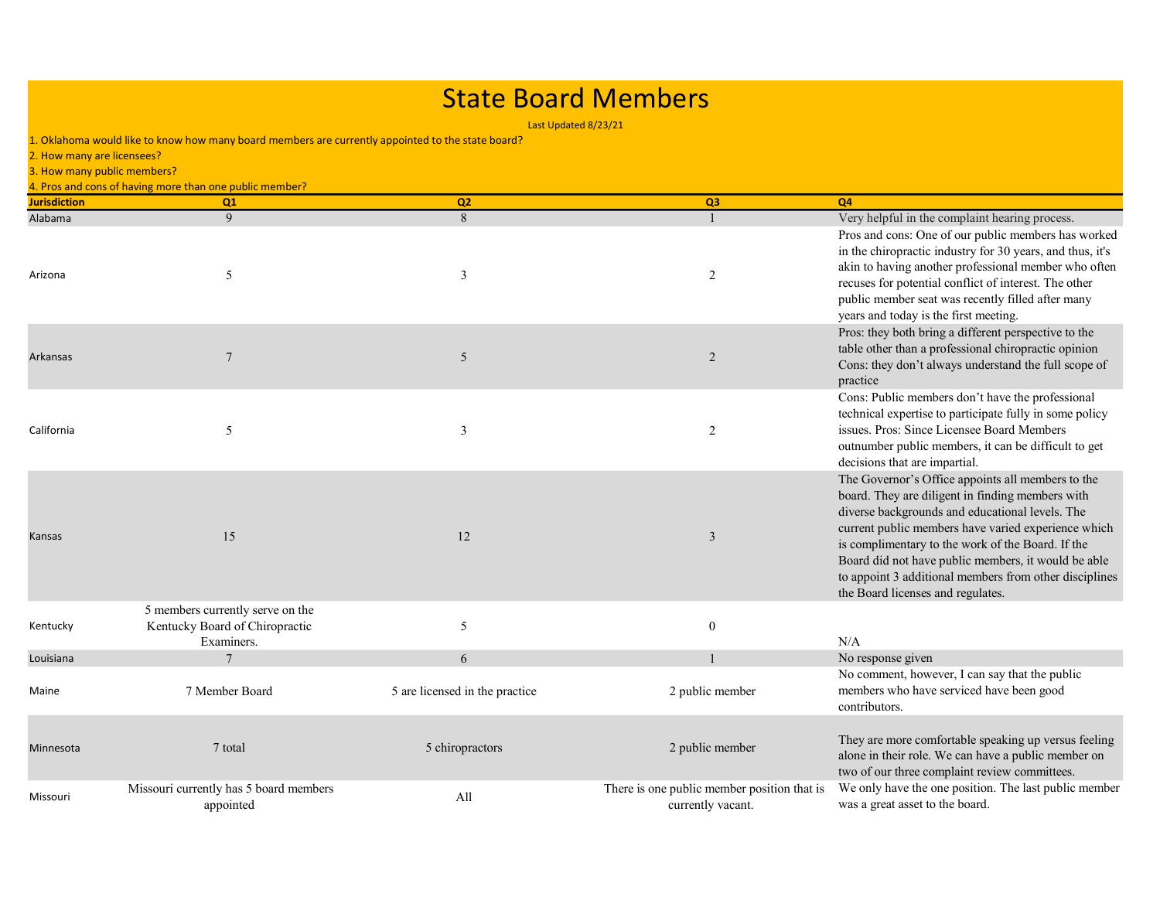## State Board Members

Last Updated 8/23/21

| 2. How many are licensees? | 1. Oklahoma would like to know how many board members are currently appointed to the state board? |                                |                                                                  |                                                                                                                                                                                                                                                                                                                                                                                                                            |
|----------------------------|---------------------------------------------------------------------------------------------------|--------------------------------|------------------------------------------------------------------|----------------------------------------------------------------------------------------------------------------------------------------------------------------------------------------------------------------------------------------------------------------------------------------------------------------------------------------------------------------------------------------------------------------------------|
|                            | 3. How many public members?                                                                       |                                |                                                                  |                                                                                                                                                                                                                                                                                                                                                                                                                            |
| <b>Jurisdiction</b>        | 4. Pros and cons of having more than one public member?<br>Q1                                     | Q2                             | Q <sub>3</sub>                                                   | <b>Q4</b>                                                                                                                                                                                                                                                                                                                                                                                                                  |
| Alabama                    | 9                                                                                                 | 8                              | $\overline{1}$                                                   | Very helpful in the complaint hearing process.                                                                                                                                                                                                                                                                                                                                                                             |
| Arizona                    | 5                                                                                                 | 3                              | 2                                                                | Pros and cons: One of our public members has worked<br>in the chiropractic industry for 30 years, and thus, it's<br>akin to having another professional member who often<br>recuses for potential conflict of interest. The other<br>public member seat was recently filled after many<br>years and today is the first meeting.                                                                                            |
| Arkansas                   | $\overline{7}$                                                                                    | 5                              | $\overline{2}$                                                   | Pros: they both bring a different perspective to the<br>table other than a professional chiropractic opinion<br>Cons: they don't always understand the full scope of<br>practice                                                                                                                                                                                                                                           |
| California                 | 5                                                                                                 | $\overline{\mathbf{3}}$        | 2                                                                | Cons: Public members don't have the professional<br>technical expertise to participate fully in some policy<br>issues. Pros: Since Licensee Board Members<br>outnumber public members, it can be difficult to get<br>decisions that are impartial.                                                                                                                                                                         |
| Kansas                     | 15                                                                                                | 12                             | 3                                                                | The Governor's Office appoints all members to the<br>board. They are diligent in finding members with<br>diverse backgrounds and educational levels. The<br>current public members have varied experience which<br>is complimentary to the work of the Board. If the<br>Board did not have public members, it would be able<br>to appoint 3 additional members from other disciplines<br>the Board licenses and regulates. |
| Kentucky                   | 5 members currently serve on the<br>Kentucky Board of Chiropractic<br>Examiners.                  | 5                              | $\boldsymbol{0}$                                                 | N/A                                                                                                                                                                                                                                                                                                                                                                                                                        |
| Louisiana                  | $\overline{7}$                                                                                    | 6                              |                                                                  | No response given                                                                                                                                                                                                                                                                                                                                                                                                          |
| Maine                      | 7 Member Board                                                                                    | 5 are licensed in the practice | 2 public member                                                  | No comment, however, I can say that the public<br>members who have serviced have been good<br>contributors.                                                                                                                                                                                                                                                                                                                |
| Minnesota                  | 7 total                                                                                           | 5 chiropractors                | 2 public member                                                  | They are more comfortable speaking up versus feeling<br>alone in their role. We can have a public member on<br>two of our three complaint review committees.                                                                                                                                                                                                                                                               |
| Missouri                   | Missouri currently has 5 board members<br>appointed                                               | All                            | There is one public member position that is<br>currently vacant. | We only have the one position. The last public member<br>was a great asset to the board.                                                                                                                                                                                                                                                                                                                                   |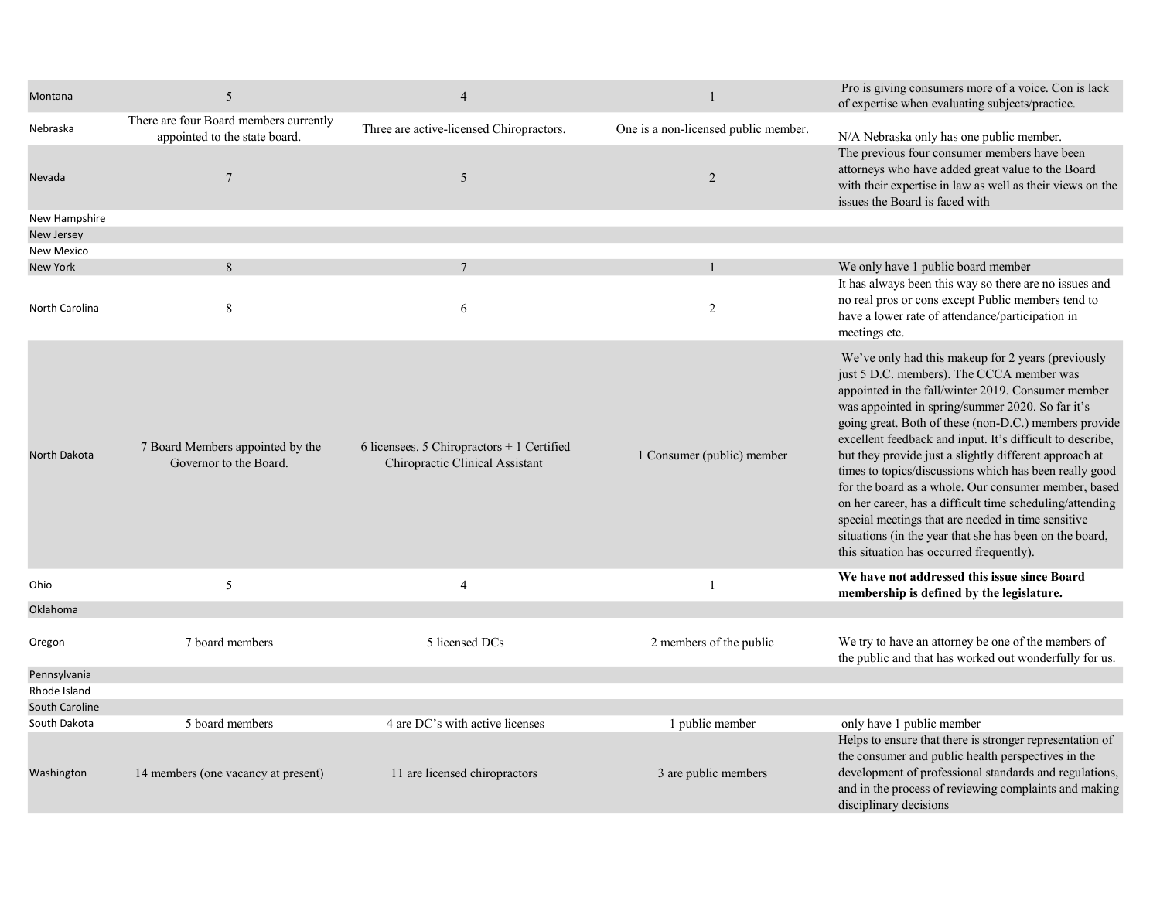| Montana         | 5                                                                       | $\overline{4}$                                                                 | 1                                    | Pro is giving consumers more of a voice. Con is lack<br>of expertise when evaluating subjects/practice.                                                                                                                                                                                                                                                                                                                                                                                                                                                                                                                                                                                                                              |
|-----------------|-------------------------------------------------------------------------|--------------------------------------------------------------------------------|--------------------------------------|--------------------------------------------------------------------------------------------------------------------------------------------------------------------------------------------------------------------------------------------------------------------------------------------------------------------------------------------------------------------------------------------------------------------------------------------------------------------------------------------------------------------------------------------------------------------------------------------------------------------------------------------------------------------------------------------------------------------------------------|
| Nebraska        | There are four Board members currently<br>appointed to the state board. | Three are active-licensed Chiropractors.                                       | One is a non-licensed public member. | N/A Nebraska only has one public member.                                                                                                                                                                                                                                                                                                                                                                                                                                                                                                                                                                                                                                                                                             |
| Nevada          | $\overline{7}$                                                          | 5                                                                              | $\overline{2}$                       | The previous four consumer members have been<br>attorneys who have added great value to the Board<br>with their expertise in law as well as their views on the<br>issues the Board is faced with                                                                                                                                                                                                                                                                                                                                                                                                                                                                                                                                     |
| New Hampshire   |                                                                         |                                                                                |                                      |                                                                                                                                                                                                                                                                                                                                                                                                                                                                                                                                                                                                                                                                                                                                      |
| New Jersey      |                                                                         |                                                                                |                                      |                                                                                                                                                                                                                                                                                                                                                                                                                                                                                                                                                                                                                                                                                                                                      |
| New Mexico      |                                                                         |                                                                                |                                      |                                                                                                                                                                                                                                                                                                                                                                                                                                                                                                                                                                                                                                                                                                                                      |
| <b>New York</b> | 8                                                                       |                                                                                |                                      | We only have 1 public board member                                                                                                                                                                                                                                                                                                                                                                                                                                                                                                                                                                                                                                                                                                   |
| North Carolina  | 8                                                                       | 6                                                                              | 2                                    | It has always been this way so there are no issues and<br>no real pros or cons except Public members tend to<br>have a lower rate of attendance/participation in<br>meetings etc.                                                                                                                                                                                                                                                                                                                                                                                                                                                                                                                                                    |
| North Dakota    | 7 Board Members appointed by the<br>Governor to the Board.              | 6 licensees. 5 Chiropractors $+1$ Certified<br>Chiropractic Clinical Assistant | 1 Consumer (public) member           | We've only had this makeup for 2 years (previously<br>just 5 D.C. members). The CCCA member was<br>appointed in the fall/winter 2019. Consumer member<br>was appointed in spring/summer 2020. So far it's<br>going great. Both of these (non-D.C.) members provide<br>excellent feedback and input. It's difficult to describe,<br>but they provide just a slightly different approach at<br>times to topics/discussions which has been really good<br>for the board as a whole. Our consumer member, based<br>on her career, has a difficult time scheduling/attending<br>special meetings that are needed in time sensitive<br>situations (in the year that she has been on the board,<br>this situation has occurred frequently). |
| Ohio            | 5                                                                       | $\overline{4}$                                                                 | $\overline{1}$                       | We have not addressed this issue since Board<br>membership is defined by the legislature.                                                                                                                                                                                                                                                                                                                                                                                                                                                                                                                                                                                                                                            |
| Oklahoma        |                                                                         |                                                                                |                                      |                                                                                                                                                                                                                                                                                                                                                                                                                                                                                                                                                                                                                                                                                                                                      |
| Oregon          | 7 board members                                                         | 5 licensed DCs                                                                 | 2 members of the public              | We try to have an attorney be one of the members of<br>the public and that has worked out wonderfully for us.                                                                                                                                                                                                                                                                                                                                                                                                                                                                                                                                                                                                                        |
| Pennsylvania    |                                                                         |                                                                                |                                      |                                                                                                                                                                                                                                                                                                                                                                                                                                                                                                                                                                                                                                                                                                                                      |
| Rhode Island    |                                                                         |                                                                                |                                      |                                                                                                                                                                                                                                                                                                                                                                                                                                                                                                                                                                                                                                                                                                                                      |
| South Caroline  |                                                                         |                                                                                |                                      |                                                                                                                                                                                                                                                                                                                                                                                                                                                                                                                                                                                                                                                                                                                                      |
| South Dakota    | 5 board members                                                         | 4 are DC's with active licenses                                                | 1 public member                      | only have 1 public member                                                                                                                                                                                                                                                                                                                                                                                                                                                                                                                                                                                                                                                                                                            |
| Washington      | 14 members (one vacancy at present)                                     | 11 are licensed chiropractors                                                  | 3 are public members                 | Helps to ensure that there is stronger representation of<br>the consumer and public health perspectives in the<br>development of professional standards and regulations,<br>and in the process of reviewing complaints and making<br>disciplinary decisions                                                                                                                                                                                                                                                                                                                                                                                                                                                                          |